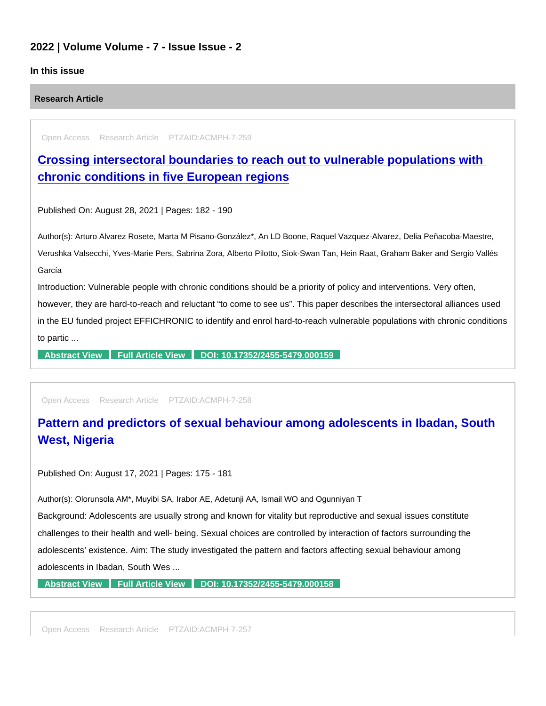### 2022 | Volume Volume - 7 - Issue Issue - 2

#### In this issue

#### Research Article

Open Access Research Article PTZAID:ACMPH-7-259

[Crossing intersectoral boundaries to reach out to vulnerable populations with](https://www.peertechzpublications.com/articles/crossing-intersectoral-boundaries-to-reach-out-to-vulnerable-populations-with-chronic-conditions-in-five-european-regions)  chronic conditions in five European regions

Published On: August 28, 2021 | Pages: 182 - 190

Author(s): Arturo Alvarez Rosete, Marta M Pisano-González\*, An LD Boone, Raquel Vazquez-Alvarez, Delia Peñacoba-Maestre, Verushka Valsecchi, Yves-Marie Pers, Sabrina Zora, Alberto Pilotto, Siok-Swan Tan, Hein Raat, Graham Baker and Sergio Vallés García

Introduction: Vulnerable people with chronic conditions should be a priority of policy and interventions. Very often, however, they are hard-to-reach and reluctant "to come to see us". This paper describes the intersectoral alliances used in the EU funded project EFFICHRONIC to identify and enrol hard-to-reach vulnerable populations with chronic conditions to partic ...

[Abstract View](https://www.peertechzpublications.com/abstracts/crossing-intersectoral-boundaries-to-reach-out-to-vulnerable-populations-with-chronic-conditions-in-five-european-regions) [Full Article View](https://www.peertechzpublications.com/articles/crossing-intersectoral-boundaries-to-reach-out-to-vulnerable-populations-with-chronic-conditions-in-five-european-regions) [DOI: 10.17352/2455-5479.000159](http://dx.doi.org/10.17352/2455-5479.000159)

Open Access Research Article PTZAID:ACMPH-7-258

## [Pattern and predictors of sexual behaviour among adolescents in Ibadan, South](https://www.peertechzpublications.com/articles/pattern-and-predictors-of-sexual-behaviour-among-adolescents-in-ibadan-south-west-nigeria)  West, Nigeria

Published On: August 17, 2021 | Pages: 175 - 181

Author(s): Olorunsola AM\*, Muyibi SA, Irabor AE, Adetunji AA, Ismail WO and Ogunniyan T

Background: Adolescents are usually strong and known for vitality but reproductive and sexual issues constitute challenges to their health and well- being. Sexual choices are controlled by interaction of factors surrounding the adolescents' existence. Aim: The study investigated the pattern and factors affecting sexual behaviour among adolescents in Ibadan, South Wes ...

[Abstract View](https://www.peertechzpublications.com/abstracts/pattern-and-predictors-of-sexual-behaviour-among-adolescents-in-ibadan-south-west-nigeria) [Full Article View](https://www.peertechzpublications.com/articles/pattern-and-predictors-of-sexual-behaviour-among-adolescents-in-ibadan-south-west-nigeria) [DOI: 10.17352/2455-5479.000158](http://dx.doi.org/10.17352/2455-5479.000158)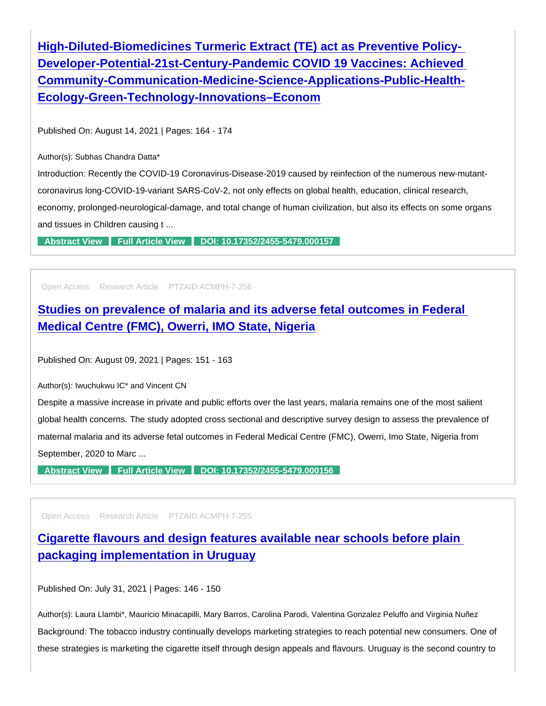High-Diluted-Biomedicines Turmeric Extract (TE) act as Preventive Policy-[Developer-Potential-21st-Century-Pandemic COVID 19 Vaccines: Achieved](https://www.peertechzpublications.com/articles/high-diluted-biomedicines-turmeric-extract-te-act-as-preventive-policy-developer-potential-21st-century-pandemic-covid-19-vaccines-achieved-community-communication-medicine-science-applications-public-health-ecology-green-technology-innovations-econom)  Community-Communication-Medicine-Science-Applications-Public-Health-Ecology-Green-Technology-Innovations–Econom

Published On: August 14, 2021 | Pages: 164 - 174

Author(s): Subhas Chandra Datta\*

Introduction: Recently the COVID-19 Coronavirus-Disease-2019 caused by reinfection of the numerous new-mutantcoronavirus long-COVID-19-variant SARS-CoV-2, not only effects on global health, education, clinical research, economy, prolonged-neurological-damage, and total change of human civilization, but also its effects on some organs and tissues in Children causing t ...

[Abstract View](https://www.peertechzpublications.com/abstracts/high-diluted-biomedicines-turmeric-extract-te-act-as-preventive-policy-developer-potential-21st-century-pandemic-covid-19-vaccines-achieved-community-communication-medicine-science-applications-public-health-ecology-green-technology-innovations-econom) [Full Article View](https://www.peertechzpublications.com/articles/high-diluted-biomedicines-turmeric-extract-te-act-as-preventive-policy-developer-potential-21st-century-pandemic-covid-19-vaccines-achieved-community-communication-medicine-science-applications-public-health-ecology-green-technology-innovations-econom) [DOI: 10.17352/2455-5479.000157](http://dx.doi.org/10.17352/2455-5479.000157)

Open Access Research Article PTZAID:ACMPH-7-256

[Studies on prevalence of malaria and its adverse fetal outcomes in Federal](https://www.peertechzpublications.com/articles/studies-on-prevalence-of-malaria-and-its-adverse-fetal-outcomes-in-federal-medical-centre-fmc-owerri-imo-state-nigeria)  Medical Centre (FMC), Owerri, IMO State, Nigeria

Published On: August 09, 2021 | Pages: 151 - 163

Author(s): Iwuchukwu IC\* and Vincent CN

Despite a massive increase in private and public efforts over the last years, malaria remains one of the most salient global health concerns. The study adopted cross sectional and descriptive survey design to assess the prevalence of maternal malaria and its adverse fetal outcomes in Federal Medical Centre (FMC), Owerri, Imo State, Nigeria from September, 2020 to Marc ...

[Abstract View](https://www.peertechzpublications.com/abstracts/studies-on-prevalence-of-malaria-and-its-adverse-fetal-outcomes-in-federal-medical-centre-fmc-owerri-imo-state-nigeria) [Full Article View](https://www.peertechzpublications.com/articles/studies-on-prevalence-of-malaria-and-its-adverse-fetal-outcomes-in-federal-medical-centre-fmc-owerri-imo-state-nigeria) [DOI: 10.17352/2455-5479.000156](http://dx.doi.org/10.17352/2455-5479.000156)

Open Access Research Article PTZAID:ACMPH-7-255

[Cigarette flavours and design features available near schools before plain](https://www.peertechzpublications.com/articles/cigarette-flavours-and-design-features-available-near-schools-before-plain-packaging-implementation-in-uruguay)  packaging implementation in Uruguay

Published On: July 31, 2021 | Pages: 146 - 150

Author(s): Laura Llambi\*, Mauricio Minacapilli, Mary Barros, Carolina Parodi, Valentina Gonzalez Peluffo and Virginia Nuñez Background: The tobacco industry continually develops marketing strategies to reach potential new consumers. One of these strategies is marketing the cigarette itself through design appeals and flavours. Uruguay is the second country to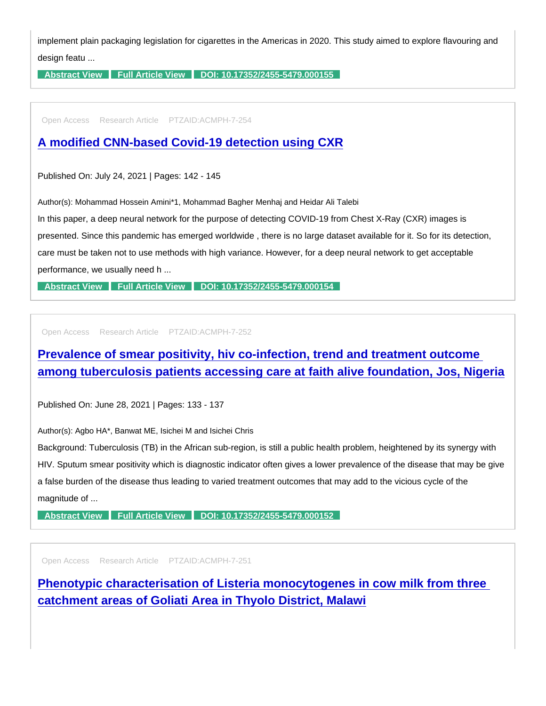implement plain packaging legislation for cigarettes in the Americas in 2020. This study aimed to explore flavouring and design featu ...

[Abstract View](https://www.peertechzpublications.com/abstracts/cigarette-flavours-and-design-features-available-near-schools-before-plain-packaging-implementation-in-uruguay) [Full Article View](https://www.peertechzpublications.com/articles/cigarette-flavours-and-design-features-available-near-schools-before-plain-packaging-implementation-in-uruguay) [DOI: 10.17352/2455-5479.000155](http://dx.doi.org/10.17352/2455-5479.000155)

Open Access Research Article PTZAID:ACMPH-7-254

[A modified CNN-based Covid-19 detection using CXR](https://www.peertechzpublications.com/articles/a-modified-cnn-based-covid-19-detection-using-cxr)

Published On: July 24, 2021 | Pages: 142 - 145

Author(s): Mohammad Hossein Amini\*1, Mohammad Bagher Menhaj and Heidar Ali Talebi

In this paper, a deep neural network for the purpose of detecting COVID-19 from Chest X-Ray (CXR) images is presented. Since this pandemic has emerged worldwide , there is no large dataset available for it. So for its detection, care must be taken not to use methods with high variance. However, for a deep neural network to get acceptable

performance, we usually need h ...

[Abstract View](https://www.peertechzpublications.com/abstracts/a-modified-cnn-based-covid-19-detection-using-cxr) [Full Article View](https://www.peertechzpublications.com/articles/a-modified-cnn-based-covid-19-detection-using-cxr) [DOI: 10.17352/2455-5479.000154](http://dx.doi.org/10.17352/2455-5479.000154)

Open Access Research Article PTZAID:ACMPH-7-252

[Prevalence of smear positivity, hiv co-infection, trend and treatment outcome](https://www.peertechzpublications.com/articles/prevalence-of-smear-positivity-hiv-co-infection-trend-and-treatment-outcome-among-tuberculosis-patients-accessing-care-at-faith-alive-foundation-jos-nigeria)  among tuberculosis patients accessing care at faith alive foundation, Jos, Nigeria

Published On: June 28, 2021 | Pages: 133 - 137

Author(s): Agbo HA\*, Banwat ME, Isichei M and Isichei Chris

Background: Tuberculosis (TB) in the African sub-region, is still a public health problem, heightened by its synergy with HIV. Sputum smear positivity which is diagnostic indicator often gives a lower prevalence of the disease that may be give a false burden of the disease thus leading to varied treatment outcomes that may add to the vicious cycle of the magnitude of ...

[Abstract View](https://www.peertechzpublications.com/abstracts/prevalence-of-smear-positivity-hiv-co-infection-trend-and-treatment-outcome-among-tuberculosis-patients-accessing-care-at-faith-alive-foundation-jos-nigeria) [Full Article View](https://www.peertechzpublications.com/articles/prevalence-of-smear-positivity-hiv-co-infection-trend-and-treatment-outcome-among-tuberculosis-patients-accessing-care-at-faith-alive-foundation-jos-nigeria) [DOI: 10.17352/2455-5479.000152](http://dx.doi.org/10.17352/2455-5479.000152)

Open Access Research Article PTZAID:ACMPH-7-251

[Phenotypic characterisation of Listeria monocytogenes in cow milk from three](https://www.peertechzpublications.com/articles/phenotypic-characterisation-of-listeria-monocytogenes-in-cow-milk-from-three-catchment-areas-of-goliati-area-in-thyolo-district-malawi)  catchment areas of Goliati Area in Thyolo District, Malawi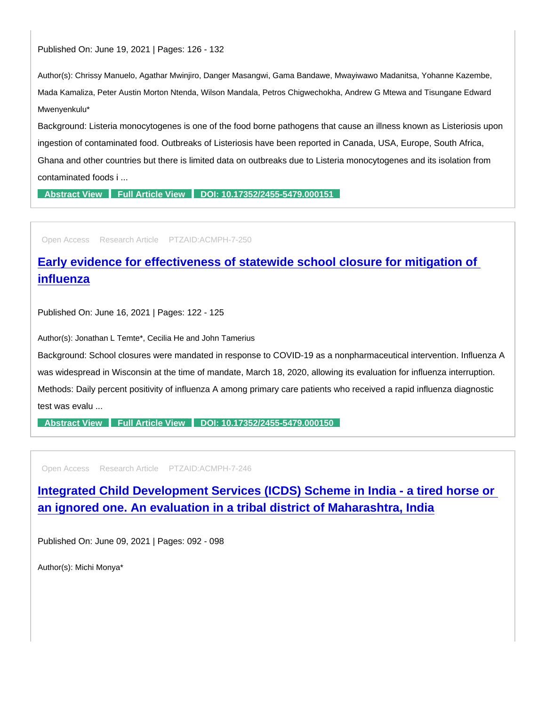Published On: June 19, 2021 | Pages: 126 - 132

Author(s): Chrissy Manuelo, Agathar Mwinjiro, Danger Masangwi, Gama Bandawe, Mwayiwawo Madanitsa, Yohanne Kazembe, Mada Kamaliza, Peter Austin Morton Ntenda, Wilson Mandala, Petros Chigwechokha, Andrew G Mtewa and Tisungane Edward Mwenyenkulu\*

Background: Listeria monocytogenes is one of the food borne pathogens that cause an illness known as Listeriosis upon ingestion of contaminated food. Outbreaks of Listeriosis have been reported in Canada, USA, Europe, South Africa, Ghana and other countries but there is limited data on outbreaks due to Listeria monocytogenes and its isolation from contaminated foods i ...

[Abstract View](https://www.peertechzpublications.com/abstracts/phenotypic-characterisation-of-listeria-monocytogenes-in-cow-milk-from-three-catchment-areas-of-goliati-area-in-thyolo-district-malawi) [Full Article View](https://www.peertechzpublications.com/articles/phenotypic-characterisation-of-listeria-monocytogenes-in-cow-milk-from-three-catchment-areas-of-goliati-area-in-thyolo-district-malawi) [DOI: 10.17352/2455-5479.000151](http://dx.doi.org/10.17352/2455-5479.000151)

Open Access Research Article PTZAID:ACMPH-7-250

[Early evidence for effectiveness of statewide school closure for mitigation of](https://www.peertechzpublications.com/articles/early-evidence-for-effectiveness-of-statewide-school-closure-for-mitigation-of-influenza)  influenza

Published On: June 16, 2021 | Pages: 122 - 125

Author(s): Jonathan L Temte\*, Cecilia He and John Tamerius

Background: School closures were mandated in response to COVID-19 as a nonpharmaceutical intervention. Influenza A was widespread in Wisconsin at the time of mandate, March 18, 2020, allowing its evaluation for influenza interruption. Methods: Daily percent positivity of influenza A among primary care patients who received a rapid influenza diagnostic test was evalu ...

[Abstract View](https://www.peertechzpublications.com/abstracts/early-evidence-for-effectiveness-of-statewide-school-closure-for-mitigation-of-influenza) [Full Article View](https://www.peertechzpublications.com/articles/early-evidence-for-effectiveness-of-statewide-school-closure-for-mitigation-of-influenza) [DOI: 10.17352/2455-5479.000150](http://dx.doi.org/10.17352/2455-5479.000150)

Open Access Research Article PTZAID:ACMPH-7-246

[Integrated Child Development Services \(ICDS\) Scheme in India - a tired horse or](https://www.peertechzpublications.com/articles/integrated-child-development-services-icds-scheme-in-india-a-tired-horse-or-an-ignored-one-an-evaluation-in-a-tribal-district-of-maharashtra-india)  an ignored one. An evaluation in a tribal district of Maharashtra, India

Published On: June 09, 2021 | Pages: 092 - 098

Author(s): Michi Monya\*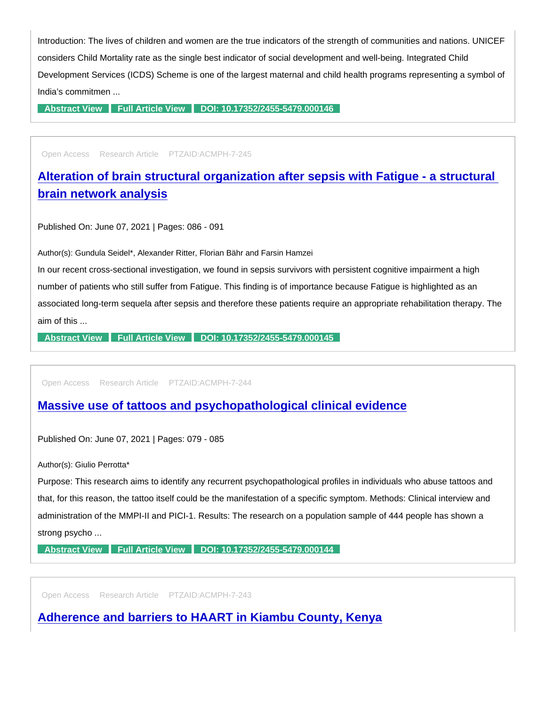Introduction: The lives of children and women are the true indicators of the strength of communities and nations. UNICEF considers Child Mortality rate as the single best indicator of social development and well-being. Integrated Child Development Services (ICDS) Scheme is one of the largest maternal and child health programs representing a symbol of India's commitmen ...

[Abstract View](https://www.peertechzpublications.com/abstracts/integrated-child-development-services-icds-scheme-in-india-a-tired-horse-or-an-ignored-one-an-evaluation-in-a-tribal-district-of-maharashtra-india) [Full Article View](https://www.peertechzpublications.com/articles/integrated-child-development-services-icds-scheme-in-india-a-tired-horse-or-an-ignored-one-an-evaluation-in-a-tribal-district-of-maharashtra-india) [DOI: 10.17352/2455-5479.000146](http://dx.doi.org/10.17352/2455-5479.000146)

Open Access Research Article PTZAID:ACMPH-7-245

[Alteration of brain structural organization after sepsis with Fatigue - a structural](https://www.peertechzpublications.com/articles/alteration-of-brain-structural-organization-after-sepsis-with-fatigue-a-structural-brain-network-analysis)  brain network analysis

Published On: June 07, 2021 | Pages: 086 - 091

Author(s): Gundula Seidel\*, Alexander Ritter, Florian Bähr and Farsin Hamzei

In our recent cross-sectional investigation, we found in sepsis survivors with persistent cognitive impairment a high number of patients who still suffer from Fatigue. This finding is of importance because Fatigue is highlighted as an associated long-term sequela after sepsis and therefore these patients require an appropriate rehabilitation therapy. The aim of this ...

[Abstract View](https://www.peertechzpublications.com/abstracts/alteration-of-brain-structural-organization-after-sepsis-with-fatigue-a-structural-brain-network-analysis) [Full Article View](https://www.peertechzpublications.com/articles/alteration-of-brain-structural-organization-after-sepsis-with-fatigue-a-structural-brain-network-analysis) [DOI: 10.17352/2455-5479.000145](http://dx.doi.org/10.17352/2455-5479.000145)

Open Access Research Article PTZAID:ACMPH-7-244

[Massive use of tattoos and psychopathological clinical evidence](https://www.peertechzpublications.com/articles/massive-use-of-tattoos-and-psychopathological-clinical-evidence)

Published On: June 07, 2021 | Pages: 079 - 085

Author(s): Giulio Perrotta\*

Purpose: This research aims to identify any recurrent psychopathological profiles in individuals who abuse tattoos and that, for this reason, the tattoo itself could be the manifestation of a specific symptom. Methods: Clinical interview and administration of the MMPI-II and PICI-1. Results: The research on a population sample of 444 people has shown a strong psycho ...

[Abstract View](https://www.peertechzpublications.com/abstracts/massive-use-of-tattoos-and-psychopathological-clinical-evidence) [Full Article View](https://www.peertechzpublications.com/articles/massive-use-of-tattoos-and-psychopathological-clinical-evidence) [DOI: 10.17352/2455-5479.000144](http://dx.doi.org/10.17352/2455-5479.000144)

Open Access Research Article PTZAID:ACMPH-7-243

[Adherence and barriers to HAART in Kiambu County, Kenya](https://www.peertechzpublications.com/articles/adherence-and-barriers-to-haart-in-kiambu-county-kenya)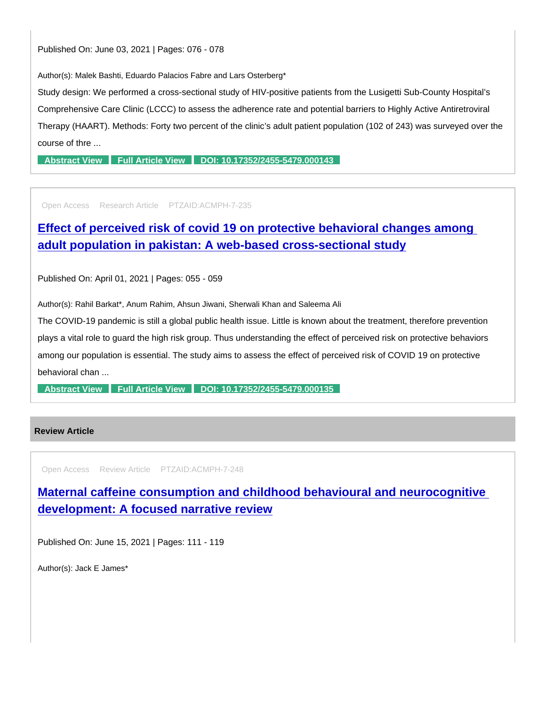Published On: June 03, 2021 | Pages: 076 - 078

Author(s): Malek Bashti, Eduardo Palacios Fabre and Lars Osterberg\*

Study design: We performed a cross-sectional study of HIV-positive patients from the Lusigetti Sub-County Hospital's Comprehensive Care Clinic (LCCC) to assess the adherence rate and potential barriers to Highly Active Antiretroviral Therapy (HAART). Methods: Forty two percent of the clinic's adult patient population (102 of 243) was surveyed over the course of thre ...

[Abstract View](https://www.peertechzpublications.com/abstracts/adherence-and-barriers-to-haart-in-kiambu-county-kenya) [Full Article View](https://www.peertechzpublications.com/articles/adherence-and-barriers-to-haart-in-kiambu-county-kenya) [DOI: 10.17352/2455-5479.000143](http://dx.doi.org/10.17352/2455-5479.000143)

Open Access Research Article PTZAID:ACMPH-7-235

[Effect of perceived risk of covid 19 on protective behavioral changes among](https://www.peertechzpublications.com/articles/effect-of-perceived-risk-of-covid-19-on-protective-behavioral-changes-among-adult-population-in-pakistan-a-web-based-cross-sectional-study)  adult population in pakistan: A web-based cross-sectional study

Published On: April 01, 2021 | Pages: 055 - 059

Author(s): Rahil Barkat\*, Anum Rahim, Ahsun Jiwani, Sherwali Khan and Saleema Ali

The COVID-19 pandemic is still a global public health issue. Little is known about the treatment, therefore prevention plays a vital role to guard the high risk group. Thus understanding the effect of perceived risk on protective behaviors among our population is essential. The study aims to assess the effect of perceived risk of COVID 19 on protective behavioral chan ...

[Abstract View](https://www.peertechzpublications.com/abstracts/effect-of-perceived-risk-of-covid-19-on-protective-behavioral-changes-among-adult-population-in-pakistan-a-web-based-cross-sectional-study) [Full Article View](https://www.peertechzpublications.com/articles/effect-of-perceived-risk-of-covid-19-on-protective-behavioral-changes-among-adult-population-in-pakistan-a-web-based-cross-sectional-study) [DOI: 10.17352/2455-5479.000135](http://dx.doi.org/10.17352/2455-5479.000135)

#### Review Article

Open Access Review Article PTZAID:ACMPH-7-248

[Maternal caffeine consumption and childhood behavioural and neurocognitive](https://www.peertechzpublications.com/articles/maternal-caffeine-consumption-and-childhood-behavioural-and-neurocognitive-development-a-focused-narrative-review)  development: A focused narrative review

Published On: June 15, 2021 | Pages: 111 - 119

Author(s): Jack E James\*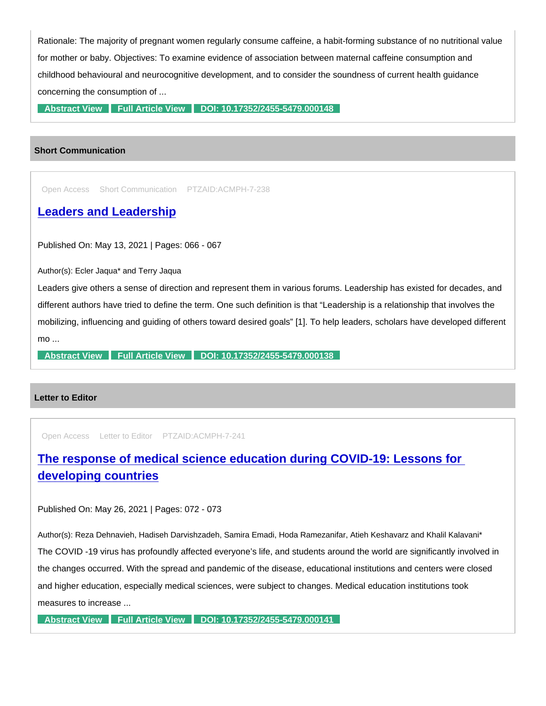Rationale: The majority of pregnant women regularly consume caffeine, a habit-forming substance of no nutritional value for mother or baby. Objectives: To examine evidence of association between maternal caffeine consumption and childhood behavioural and neurocognitive development, and to consider the soundness of current health guidance concerning the consumption of ...

[Abstract View](https://www.peertechzpublications.com/abstracts/maternal-caffeine-consumption-and-childhood-behavioural-and-neurocognitive-development-a-focused-narrative-review) [Full Article View](https://www.peertechzpublications.com/articles/maternal-caffeine-consumption-and-childhood-behavioural-and-neurocognitive-development-a-focused-narrative-review) [DOI: 10.17352/2455-5479.000148](http://dx.doi.org/10.17352/2455-5479.000148)

#### Short Communication

Open Access Short Communication PTZAID:ACMPH-7-238

## [Leaders and Leadership](https://www.peertechzpublications.com/articles/leaders-and-leadership)

Published On: May 13, 2021 | Pages: 066 - 067

Author(s): Ecler Jaqua\* and Terry Jaqua

Leaders give others a sense of direction and represent them in various forums. Leadership has existed for decades, and different authors have tried to define the term. One such definition is that "Leadership is a relationship that involves the mobilizing, influencing and guiding of others toward desired goals" [1]. To help leaders, scholars have developed different mo ...

[Abstract View](https://www.peertechzpublications.com/abstracts/leaders-and-leadership) [Full Article View](https://www.peertechzpublications.com/articles/leaders-and-leadership) [DOI: 10.17352/2455-5479.000138](http://dx.doi.org/10.17352/2455-5479.000138)

#### Letter to Editor

Open Access Letter to Editor PTZAID:ACMPH-7-241

[The response of medical science education during COVID-19: Lessons for](https://www.peertechzpublications.com/articles/the-response-of-medical-science-education-during-covid-19-lessons-for-developing-countries)  developing countries

Published On: May 26, 2021 | Pages: 072 - 073

Author(s): Reza Dehnavieh, Hadiseh Darvishzadeh, Samira Emadi, Hoda Ramezanifar, Atieh Keshavarz and Khalil Kalavani\* The COVID -19 virus has profoundly affected everyone's life, and students around the world are significantly involved in the changes occurred. With the spread and pandemic of the disease, educational institutions and centers were closed and higher education, especially medical sciences, were subject to changes. Medical education institutions took measures to increase ...

[Abstract View](https://www.peertechzpublications.com/abstracts/the-response-of-medical-science-education-during-covid-19-lessons-for-developing-countries) [Full Article View](https://www.peertechzpublications.com/articles/the-response-of-medical-science-education-during-covid-19-lessons-for-developing-countries) [DOI: 10.17352/2455-5479.000141](http://dx.doi.org/10.17352/2455-5479.000141)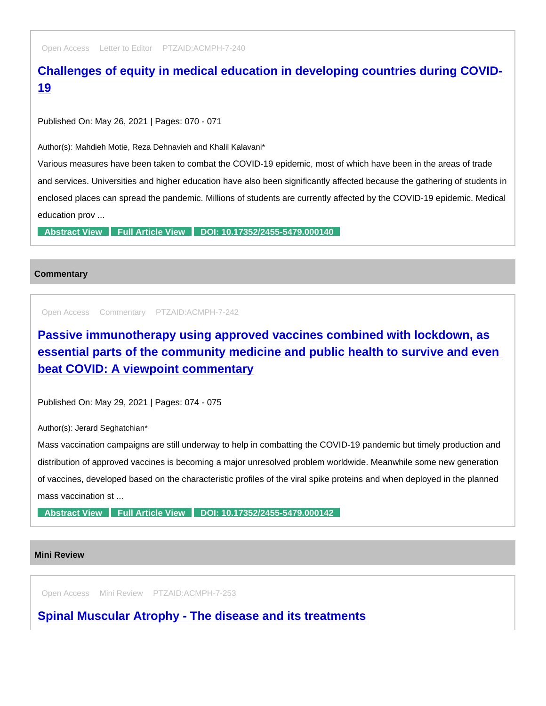Open Access Letter to Editor PTZAID:ACMPH-7-240

# [Challenges of equity in medical education in developing countries during COVID-](https://www.peertechzpublications.com/articles/challenges-of-equity-in-medical-education-in-developing-countries-during-covid-19)19

Published On: May 26, 2021 | Pages: 070 - 071

Author(s): Mahdieh Motie, Reza Dehnavieh and Khalil Kalavani\*

Various measures have been taken to combat the COVID-19 epidemic, most of which have been in the areas of trade and services. Universities and higher education have also been significantly affected because the gathering of students in enclosed places can spread the pandemic. Millions of students are currently affected by the COVID-19 epidemic. Medical education prov ...

[Abstract View](https://www.peertechzpublications.com/abstracts/challenges-of-equity-in-medical-education-in-developing-countries-during-covid-19) [Full Article View](https://www.peertechzpublications.com/articles/challenges-of-equity-in-medical-education-in-developing-countries-during-covid-19) [DOI: 10.17352/2455-5479.000140](http://dx.doi.org/10.17352/2455-5479.000140)

#### **Commentary**

Open Access Commentary PTZAID:ACMPH-7-242

Passive immunotherapy using approved vaccines combined with lockdown, as [essential parts of the community medicine and public health to survive and even](https://www.peertechzpublications.com/articles/passive-immunotherapy-using-approved-vaccines-combined-with-lockdown-as-essential-parts-of-the-community-medicine-and-public-health-to-survive-and-even-beat-covid-a-viewpoint-commentary)  beat COVID: A viewpoint commentary

Published On: May 29, 2021 | Pages: 074 - 075

Author(s): Jerard Seghatchian\*

Mass vaccination campaigns are still underway to help in combatting the COVID-19 pandemic but timely production and distribution of approved vaccines is becoming a major unresolved problem worldwide. Meanwhile some new generation of vaccines, developed based on the characteristic profiles of the viral spike proteins and when deployed in the planned mass vaccination st ...

[Abstract View](https://www.peertechzpublications.com/abstracts/passive-immunotherapy-using-approved-vaccines-combined-with-lockdown-as-essential-parts-of-the-community-medicine-and-public-health-to-survive-and-even-beat-covid-a-viewpoint-commentary) [Full Article View](https://www.peertechzpublications.com/articles/passive-immunotherapy-using-approved-vaccines-combined-with-lockdown-as-essential-parts-of-the-community-medicine-and-public-health-to-survive-and-even-beat-covid-a-viewpoint-commentary) [DOI: 10.17352/2455-5479.000142](http://dx.doi.org/10.17352/2455-5479.000142)

#### Mini Review

Open Access Mini Review PTZAID:ACMPH-7-253

[Spinal Muscular Atrophy - The disease and its treatments](https://www.peertechzpublications.com/articles/spinal-muscular-atrophy-the-disease-and-its-treatments)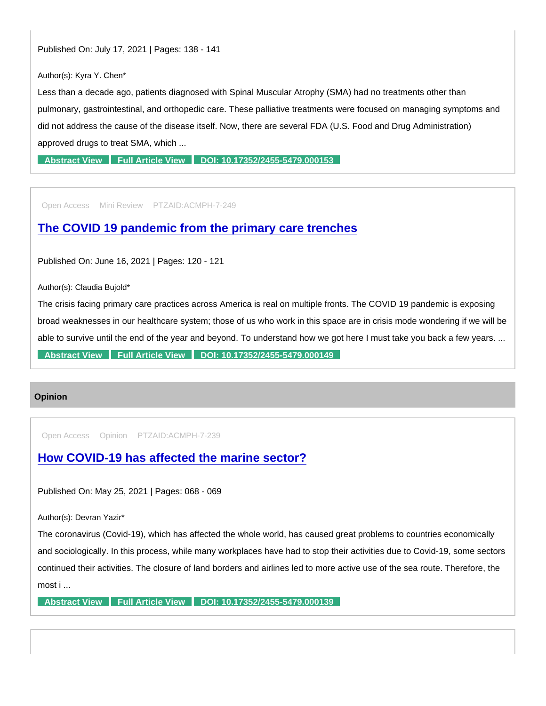Published On: July 17, 2021 | Pages: 138 - 141

Author(s): Kyra Y. Chen\*

Less than a decade ago, patients diagnosed with Spinal Muscular Atrophy (SMA) had no treatments other than pulmonary, gastrointestinal, and orthopedic care. These palliative treatments were focused on managing symptoms and did not address the cause of the disease itself. Now, there are several FDA (U.S. Food and Drug Administration) approved drugs to treat SMA, which ...

[Abstract View](https://www.peertechzpublications.com/abstracts/spinal-muscular-atrophy-the-disease-and-its-treatments) [Full Article View](https://www.peertechzpublications.com/articles/spinal-muscular-atrophy-the-disease-and-its-treatments) [DOI: 10.17352/2455-5479.000153](http://dx.doi.org/10.17352/2455-5479.000153)

Open Access Mini Review PTZAID:ACMPH-7-249

[The COVID 19 pandemic from the primary care trenches](https://www.peertechzpublications.com/articles/the-covid-19-pandemic-from-the-primary-care-trenches)

Published On: June 16, 2021 | Pages: 120 - 121

Author(s): Claudia Bujold\*

The crisis facing primary care practices across America is real on multiple fronts. The COVID 19 pandemic is exposing broad weaknesses in our healthcare system; those of us who work in this space are in crisis mode wondering if we will be able to survive until the end of the year and beyond. To understand how we got here I must take you back a few years. ... [Abstract View](https://www.peertechzpublications.com/abstracts/the-covid-19-pandemic-from-the-primary-care-trenches) [Full Article View](https://www.peertechzpublications.com/articles/the-covid-19-pandemic-from-the-primary-care-trenches) [DOI: 10.17352/2455-5479.000149](http://dx.doi.org/10.17352/2455-5479.000149)

#### **Opinion**

Open Access Opinion PTZAID:ACMPH-7-239

[How COVID-19 has affected the marine sector?](https://www.peertechzpublications.com/articles/how-covid-19-has-affected-the-marine-sector)

Published On: May 25, 2021 | Pages: 068 - 069

Author(s): Devran Yazir\*

The coronavirus (Covid-19), which has affected the whole world, has caused great problems to countries economically and sociologically. In this process, while many workplaces have had to stop their activities due to Covid-19, some sectors continued their activities. The closure of land borders and airlines led to more active use of the sea route. Therefore, the most i ...

[Abstract View](https://www.peertechzpublications.com/abstracts/how-covid-19-has-affected-the-marine-sector) [Full Article View](https://www.peertechzpublications.com/articles/how-covid-19-has-affected-the-marine-sector) [DOI: 10.17352/2455-5479.000139](http://dx.doi.org/10.17352/2455-5479.000139)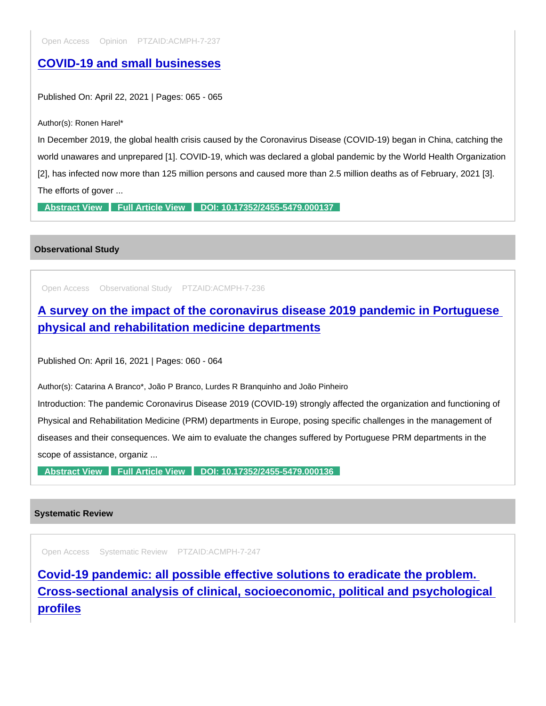## [COVID-19 and small businesses](https://www.peertechzpublications.com/articles/covid-19-and-small-businesses)

Published On: April 22, 2021 | Pages: 065 - 065

Author(s): Ronen Harel\*

In December 2019, the global health crisis caused by the Coronavirus Disease (COVID-19) began in China, catching the world unawares and unprepared [1]. COVID-19, which was declared a global pandemic by the World Health Organization [2], has infected now more than 125 million persons and caused more than 2.5 million deaths as of February, 2021 [3]. The efforts of gover ...

[Abstract View](https://www.peertechzpublications.com/abstracts/covid-19-and-small-businesses) [Full Article View](https://www.peertechzpublications.com/articles/covid-19-and-small-businesses) [DOI: 10.17352/2455-5479.000137](http://dx.doi.org/10.17352/2455-5479.000137)

Observational Study

Open Access Observational Study PTZAID:ACMPH-7-236

[A survey on the impact of the coronavirus disease 2019 pandemic in Portuguese](https://www.peertechzpublications.com/articles/a-survey-on-the-impact-of-the-coronavirus-disease-2019-pandemic-in-portuguese-physical-and-rehabilitation-medicine-departments)  physical and rehabilitation medicine departments

Published On: April 16, 2021 | Pages: 060 - 064

Author(s): Catarina A Branco\*, João P Branco, Lurdes R Branquinho and João Pinheiro

Introduction: The pandemic Coronavirus Disease 2019 (COVID-19) strongly affected the organization and functioning of Physical and Rehabilitation Medicine (PRM) departments in Europe, posing specific challenges in the management of diseases and their consequences. We aim to evaluate the changes suffered by Portuguese PRM departments in the scope of assistance, organiz ...

[Abstract View](https://www.peertechzpublications.com/abstracts/a-survey-on-the-impact-of-the-coronavirus-disease-2019-pandemic-in-portuguese-physical-and-rehabilitation-medicine-departments) [Full Article View](https://www.peertechzpublications.com/articles/a-survey-on-the-impact-of-the-coronavirus-disease-2019-pandemic-in-portuguese-physical-and-rehabilitation-medicine-departments) [DOI: 10.17352/2455-5479.000136](http://dx.doi.org/10.17352/2455-5479.000136)

#### Systematic Review

Open Access Systematic Review PTZAID:ACMPH-7-247

Covid-19 pandemic: all possible effective solutions to eradicate the problem. [Cross-sectional analysis of clinical, socioeconomic, political and psychological](https://www.peertechzpublications.com/articles/covid-19-pandemic-all-possible-effective-solutions-to-eradicate-the-problem-cross-sectional-analysis-of-clinical-socioeconomic-political-and-psychological-profiles)  profiles